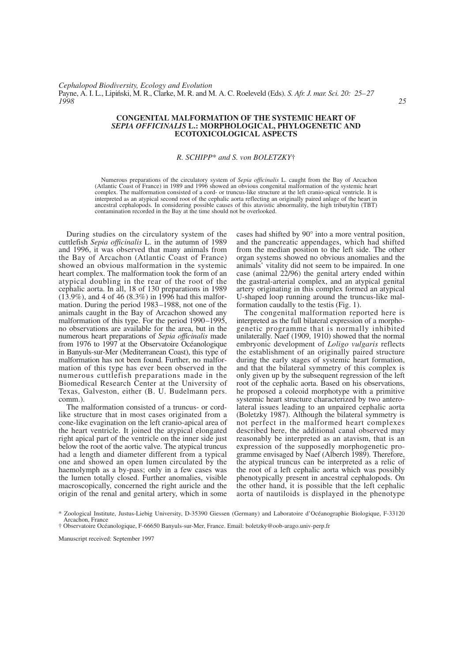*Cephalopod Biodiversity, Ecology and Evolution* Payne, A. I. L., Lipiński, M. R., Clarke, M. R. and M. A. C. Roeleveld (Eds). *S. Afr. J. mar. Sci. 20: 25–27*<br>1998 *1998 25*

## **CONGENITAL MALFORMATION OF THE SYSTEMIC HEART OF**  *SEPIA OFFICINALIS* **L.: MORPHOLOGICAL, PHYLOGENETIC AND ECOTOXICOLOGICAL ASPECTS**

## *R. SCHIPP*\* *and S. von BOLETZKY*†

Numerous preparations of the circulatory system of *Sepia officinalis* L. caught from the Bay of Arcachon (Atlantic Coast of France) in 1989 and 1996 showed an obvious congenital malformation of the systemic heart complex. The malformation consisted of a cord- or truncus-like structure at the left cranio-apical ventricle. It is interpreted as an atypical second root of the cephalic aorta reflecting an originally paired anlage of the heart in ancestral cephalopods. In considering possible causes of this atavistic abnormality, the high tributyltin (TBT) contamination recorded in the Bay at the time should not be overlooked.

During studies on the circulatory system of the cuttlefish *Sepia officinalis* L. in the autumn of 1989 and 1996, it was observed that many animals from the Bay of Arcachon (Atlantic Coast of France) showed an obvious malformation in the systemic heart complex. The malformation took the form of an atypical doubling in the rear of the root of the cephalic aorta. In all, 18 of 130 preparations in 1989  $(13.9\%)$ , and 4 of 46  $(8.3\%)$  in 1996 had this malformation. During the period 1983–1988, not one of the animals caught in the Bay of Arcachon showed any malformation of this type. For the period 1990–1995, no observations are available for the area, but in the numerous heart preparations of *Sepia officinalis* made from 1976 to 1997 at the Observatoire Océanologique in Banyuls-sur-Mer (Mediterranean Coast), this type of malformation has not been found. Further, no malformation of this type has ever been observed in the numerous cuttlefish preparations made in the Biomedical Research Center at the University of Texas, Galveston, either (B. U. Budelmann pers. comm.).

The malformation consisted of a truncus- or cordlike structure that in most cases originated from a cone-like evagination on the left cranio-apical area of the heart ventricle. It joined the atypical elongated right apical part of the ventricle on the inner side just below the root of the aortic valve. The atypical truncus had a length and diameter different from a typical one and showed an open lumen circulated by the haemolymph as a by-pass; only in a few cases was the lumen totally closed. Further anomalies, visible macroscopically, concerned the right auricle and the origin of the renal and genital artery, which in some

cases had shifted by 90° into a more ventral position, and the pancreatic appendages, which had shifted from the median position to the left side. The other organ systems showed no obvious anomalies and the animals' vitality did not seem to be impaired. In one case (animal  $22/96$ ) the genital artery ended within the gastral-arterial complex, and an atypical genital artery originating in this complex formed an atypical U-shaped loop running around the truncus-like malformation caudally to the testis (Fig. 1).

The congenital malformation reported here is interpreted as the full bilateral expression of a morphogenetic programme that is normally inhibited unilaterally. Naef (1909, 1910) showed that the normal embryonic development of *Loligo vulgaris* reflects the establishment of an originally paired structure during the early stages of systemic heart formation, and that the bilateral symmetry of this complex is only given up by the subsequent regression of the left root of the cephalic aorta. Based on his observations, he proposed a coleoid morphotype with a primitive systemic heart structure characterized by two anterolateral issues leading to an unpaired cephalic aorta (Boletzky 1987). Although the bilateral symmetry is not perfect in the malformed heart complexes described here, the additional canal observed may reasonably be interpreted as an atavism, that is an expression of the supposedly morphogenetic programme envisaged by Naef (Alberch 1989). Therefore, the atypical truncus can be interpreted as a relic of the root of a left cephalic aorta which was possibly phenotypically present in ancestral cephalopods. On the other hand, it is possible that the left cephalic aorta of nautiloids is displayed in the phenotype

Manuscript received: September 1997

<sup>\*</sup> Zoological Institute, Justus-Liebig University, D-35390 Giessen (Germany) and Laboratoire d'Océanographie Biologique, F-33120 Arcachon, France

<sup>†</sup> Observatoire Océanologique, F-66650 Banyuls-sur-Mer, France. Email: boletzky@oob-arago.univ-perp.fr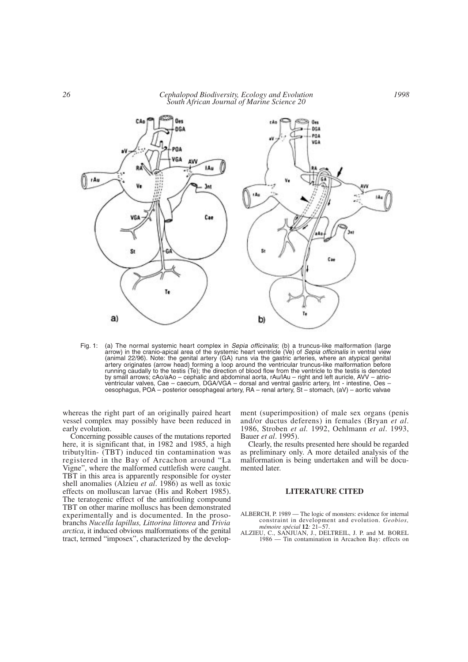## *26 Cephalopod Biodiversity, Ecology and Evolution South African Journal of Marine Science 20*



Fig. 1: (a) The normal systemic heart complex in *Sepia officinalis*; (b) a truncus-like malformation (large arrow) in the cranio-apical area of the systemic heart ventricle (Ve) of *Sepia officinalis* in ventral view (animal 22/96). Note: the genital artery (GA) runs via the gastric arteries, where an atypical genital artery originates (arrow head) forming a loop around the ventricular truncus-like malformation before running caudally to the testis (Te); the direction of blood flow from the ventricle to the testis is denoted by small arrows; cAo/aAo – cephalic and abdominal aorta, rAu/lAu – right and left auricle, AVV – atrioventricular valves, Cae – caecum, DGA/VGA – dorsal and ventral gastric artery, Int - intestine, Oes – oesophagus, POA – posterior oesophageal artery, RA – renal artery, St – stomach, (aV) – aortic valvae

whereas the right part of an originally paired heart vessel complex may possibly have been reduced in early evolution.

Concerning possible causes of the mutations reported here, it is significant that, in 1982 and 1985, a high tributyltin- (TBT) induced tin contamination was registered in the Bay of Arcachon around "La Vigne", where the malformed cuttlefish were caught. TBT in this area is apparently responsible for oyster shell anomalies (Alzieu *et al*. 1986) as well as toxic effects on molluscan larvae (His and Robert 1985). The teratogenic effect of the antifouling compound TBT on other marine molluscs has been demonstrated experimentally and is documented. In the prosobranchs *Nucella lapillus, Littorina littorea* and *Trivia arctica*, it induced obvious malformations of the genital tract, termed "imposex", characterized by the development (superimposition) of male sex organs (penis and/or ductus deferens) in females (Bryan *et al*. 1986, Stroben *et al.* 1992, Oehlmann *et al*. 1993, Bauer *et al*. 1995).

*1998*

Clearly, the results presented here should be regarded as preliminary only. A more detailed analysis of the malformation is being undertaken and will be documented later.

## **LITERATURE CITED**

ALBERCH, P. 1989 — The logic of monsters: evidence for internal constraint in development and evolution. *Geobios, mémoire spécial* **12***:* 21–57.

ALZIEU, C., SANJUAN, J., DELTREIL, J. P. and M. BOREL 1986 — Tin contamination in Arcachon Bay: effects on